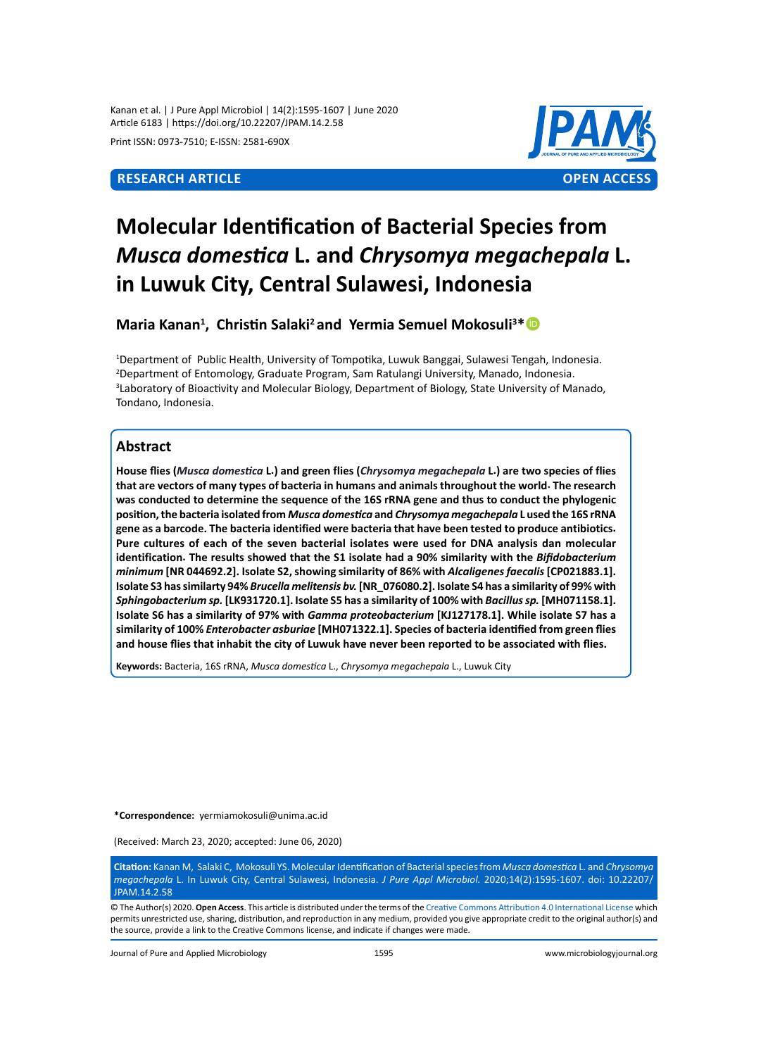Kanan et al. | J Pure Appl Microbiol | 14(2):1595-1607 | June 2020 Article 6183 | https://doi.org/10.22207/JPAM.14.2.58

Print ISSN: 0973-7510; E-ISSN: 2581-690X



# **Molecular Identification of Bacterial Species from**  *Musca domestica* **L. and** *Chrysomya megachepala* **L. in Luwuk City, Central Sulawesi, Indonesia**

**Maria Kanan1 , Christin Salaki<sup>2</sup>and Yermia Semuel Mokosuli<sup>3</sup> \***

 Department of Public Health, University of Tompotika, Luwuk Banggai, Sulawesi Tengah, Indonesia. Department of Entomology, Graduate Program, Sam Ratulangi University, Manado, Indonesia. Laboratory of Bioactivity and Molecular Biology, Department of Biology, State University of Manado, Tondano, Indonesia.

# **Abstract**

**House flies (***Musca domestica* **L.) and green flies (***Chrysomya megachepala* **L.) are two species of flies that are vectors of many types of bacteria in humans and animals throughout the world. The research was conducted to determine the sequence of the 16S rRNA gene and thus to conduct the phylogenic position, the bacteria isolated from** *Musca domestica* **and** *Chrysomya megachepala* **L used the 16S rRNA gene as a barcode. The bacteria identified were bacteria that have been tested to produce antibiotics. Pure cultures of each of the seven bacterial isolates were used for DNA analysis dan molecular identification. The results showed that the S1 isolate had a 90% similarity with the** *Bifidobacterium minimum* **[NR 044692.2]. Isolate S2, showing similarity of 86% with** *Alcaligenes faecalis* **[CP021883.1]. Isolate S3 has similarty 94%** *Brucella melitensis bv.* **[NR\_076080.2]. Isolate S4 has a similarity of 99% with**  *Sphingobacterium sp.* **[LK931720.1]. Isolate S5 has a similarity of 100% with** *Bacillus sp.* **[MH071158.1]. Isolate S6 has a similarity of 97% with** *Gamma proteobacterium* **[KJ127178.1]. While isolate S7 has a similarity of 100%** *Enterobacter asburiae* **[MH071322.1]. Species of bacteria identified from green flies and house flies that inhabit the city of Luwuk have never been reported to be associated with flies.**

**Keywords:** Bacteria, 16S rRNA, *Musca domestica* L., *Chrysomya megachepala* L., Luwuk City

**\*Correspondence:** yermiamokosuli@unima.ac.id

(Received: March 23, 2020; accepted: June 06, 2020)

**Citation:** Kanan M, Salaki C, Mokosuli YS. Molecular Identification of Bacterial species from *Musca domestica* L. and *Chrysomya megachepala* L. In Luwuk City, Central Sulawesi, Indonesia. *J Pure Appl Microbiol.* 2020;14(2):1595-1607. doi: 10.22207/ **JPAM 14.2.58** 

© The Author(s) 2020. **Open Access**. This article is distributed under the terms of the [Creative Commons Attribution 4.0 International License](https://creativecommons.org/licenses/by/4.0/) which permits unrestricted use, sharing, distribution, and reproduction in any medium, provided you give appropriate credit to the original author(s) and the source, provide a link to the Creative Commons license, and indicate if changes were made.

Journal of Pure and Applied Microbiology 1595 www.microbiologyjournal.org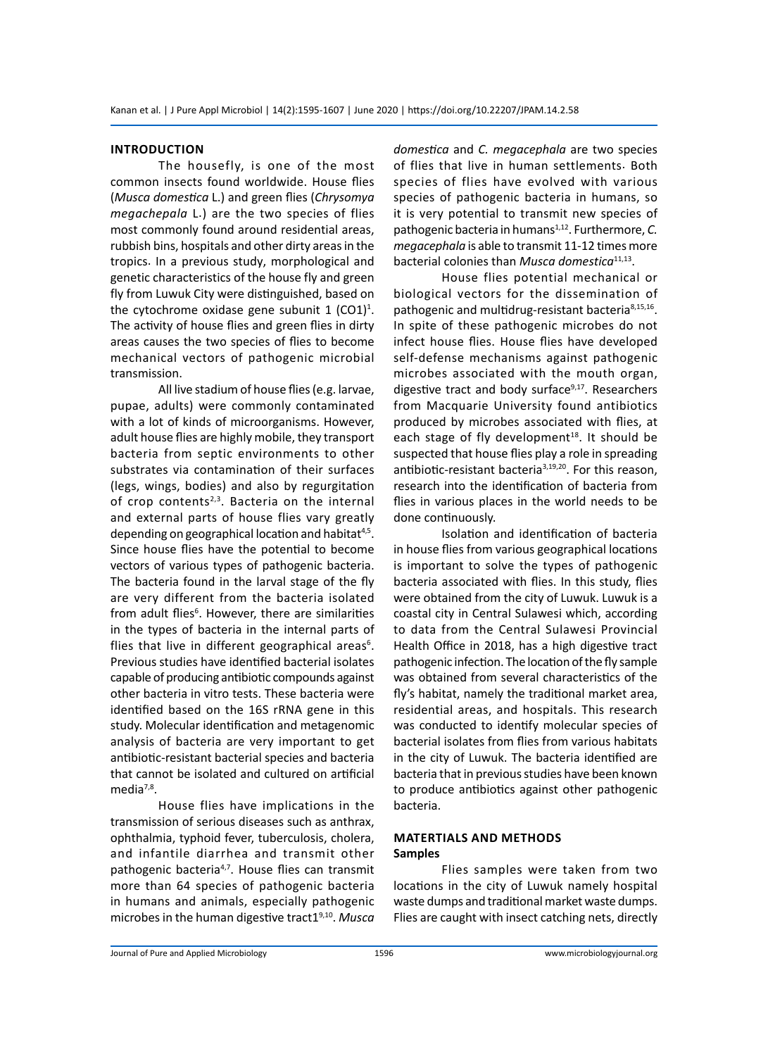#### **Introduction**

The housefly, is one of the most common insects found worldwide. House flies (*Musca domestica* L.) and green flies (*Chrysomya megachepala* L.) are the two species of flies most commonly found around residential areas, rubbish bins, hospitals and other dirty areas in the tropics. In a previous study, morphological and genetic characteristics of the house fly and green fly from Luwuk City were distinguished, based on the cytochrome oxidase gene subunit  $1$  (CO1)<sup>1</sup>. The activity of house flies and green flies in dirty areas causes the two species of flies to become mechanical vectors of pathogenic microbial transmission.

All live stadium of house flies (e.g. larvae, pupae, adults) were commonly contaminated with a lot of kinds of microorganisms. However, adult house flies are highly mobile, they transport bacteria from septic environments to other substrates via contamination of their surfaces (legs, wings, bodies) and also by regurgitation of crop contents<sup>2,3</sup>. Bacteria on the internal and external parts of house flies vary greatly depending on geographical location and habitat<sup>4,5</sup>. Since house flies have the potential to become vectors of various types of pathogenic bacteria. The bacteria found in the larval stage of the fly are very different from the bacteria isolated from adult flies<sup>6</sup>. However, there are similarities in the types of bacteria in the internal parts of flies that live in different geographical areas<sup>6</sup>. Previous studies have identified bacterial isolates capable of producing antibiotic compounds against other bacteria in vitro tests. These bacteria were identified based on the 16S rRNA gene in this study. Molecular identification and metagenomic analysis of bacteria are very important to get antibiotic-resistant bacterial species and bacteria that cannot be isolated and cultured on artificial media<sup>7,8</sup>.

House flies have implications in the transmission of serious diseases such as anthrax, ophthalmia, typhoid fever, tuberculosis, cholera, and infantile diarrhea and transmit other pathogenic bacteria<sup>4,7</sup>. House flies can transmit more than 64 species of pathogenic bacteria in humans and animals, especially pathogenic microbes in the human digestive tract19,10. *Musca*  *domestica* and *C. megacephala* are two species of flies that live in human settlements. Both species of flies have evolved with various species of pathogenic bacteria in humans, so it is very potential to transmit new species of pathogenic bacteria in humans<sup>1,12</sup>. Furthermore, *C*. *megacephala* is able to transmit 11-12 times more bacterial colonies than *Musca domestica*11,13.

House flies potential mechanical or biological vectors for the dissemination of pathogenic and multidrug-resistant bacteria<sup>8,15,16</sup>. In spite of these pathogenic microbes do not infect house flies. House flies have developed self-defense mechanisms against pathogenic microbes associated with the mouth organ, digestive tract and body surface $9,17$ . Researchers from Macquarie University found antibiotics produced by microbes associated with flies, at each stage of fly development<sup>18</sup>. It should be suspected that house flies play a role in spreading antibiotic-resistant bacteria<sup>3,19,20</sup>. For this reason, research into the identification of bacteria from flies in various places in the world needs to be done continuously.

Isolation and identification of bacteria in house flies from various geographical locations is important to solve the types of pathogenic bacteria associated with flies. In this study, flies were obtained from the city of Luwuk. Luwuk is a coastal city in Central Sulawesi which, according to data from the Central Sulawesi Provincial Health Office in 2018, has a high digestive tract pathogenic infection. The location of the fly sample was obtained from several characteristics of the fly's habitat, namely the traditional market area, residential areas, and hospitals. This research was conducted to identify molecular species of bacterial isolates from flies from various habitats in the city of Luwuk. The bacteria identified are bacteria that in previous studies have been known to produce antibiotics against other pathogenic bacteria.

#### **Matertials and Methods Samples**

Flies samples were taken from two locations in the city of Luwuk namely hospital waste dumps and traditional market waste dumps. Flies are caught with insect catching nets, directly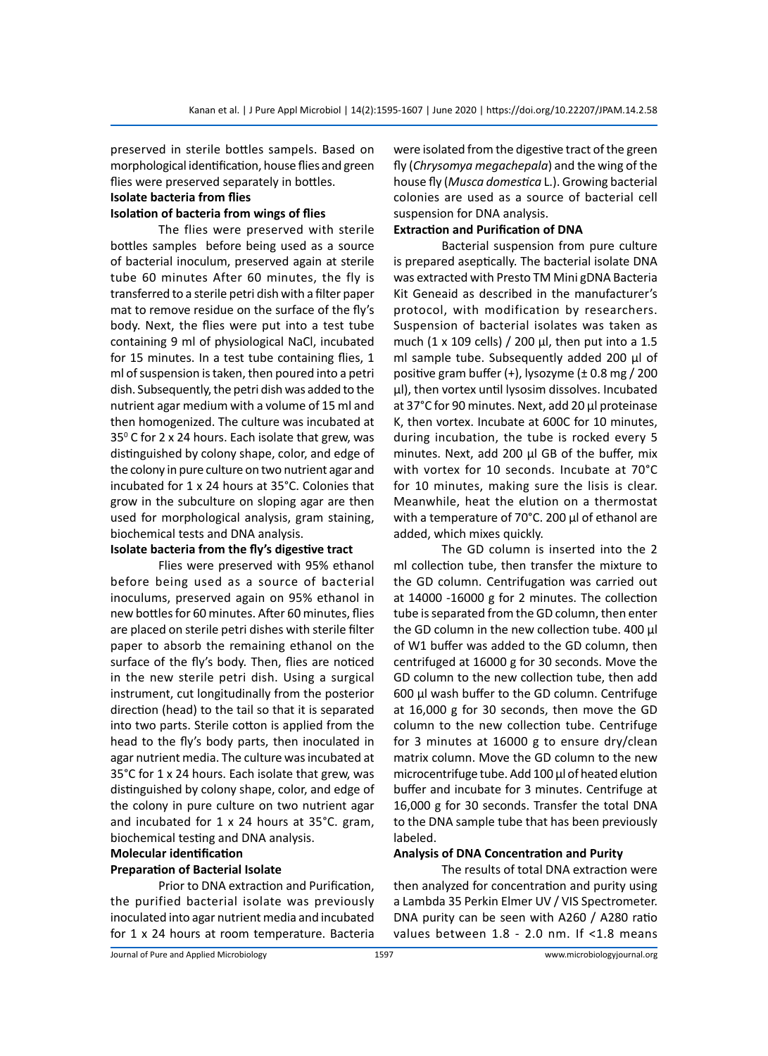preserved in sterile bottles sampels. Based on morphological identification, house flies and green flies were preserved separately in bottles.

# **Isolate bacteria from flies**

# **Isolation of bacteria from wings of flies**

The flies were preserved with sterile bottles samples before being used as a source of bacterial inoculum, preserved again at sterile tube 60 minutes After 60 minutes, the fly is transferred to a sterile petri dish with a filter paper mat to remove residue on the surface of the fly's body. Next, the flies were put into a test tube containing 9 ml of physiological NaCl, incubated for 15 minutes. In a test tube containing flies, 1 ml of suspension is taken, then poured into a petri dish. Subsequently, the petri dish was added to the nutrient agar medium with a volume of 15 ml and then homogenized. The culture was incubated at 35 $\mathrm{^0}$  C for 2 x 24 hours. Each isolate that grew, was distinguished by colony shape, color, and edge of the colony in pure culture on two nutrient agar and incubated for 1 x 24 hours at 35°C. Colonies that grow in the subculture on sloping agar are then used for morphological analysis, gram staining, biochemical tests and DNA analysis.

### **Isolate bacteria from the fly's digestive tract**

Flies were preserved with 95% ethanol before being used as a source of bacterial inoculums, preserved again on 95% ethanol in new bottles for 60 minutes. After 60 minutes, flies are placed on sterile petri dishes with sterile filter paper to absorb the remaining ethanol on the surface of the fly's body. Then, flies are noticed in the new sterile petri dish. Using a surgical instrument, cut longitudinally from the posterior direction (head) to the tail so that it is separated into two parts. Sterile cotton is applied from the head to the fly's body parts, then inoculated in agar nutrient media. The culture was incubated at 35°C for 1 x 24 hours. Each isolate that grew, was distinguished by colony shape, color, and edge of the colony in pure culture on two nutrient agar and incubated for 1 x 24 hours at 35°C. gram, biochemical testing and DNA analysis.

# **Molecular identification**

#### **Preparation of Bacterial Isolate**

Prior to DNA extraction and Purification, the purified bacterial isolate was previously inoculated into agar nutrient media and incubated for 1 x 24 hours at room temperature. Bacteria were isolated from the digestive tract of the green fly (*Chrysomya megachepala*) and the wing of the house fly (*Musca domestica* L.). Growing bacterial colonies are used as a source of bacterial cell suspension for DNA analysis.

### **Extraction and Purification of DNA**

Bacterial suspension from pure culture is prepared aseptically. The bacterial isolate DNA was extracted with Presto TM Mini gDNA Bacteria Kit Geneaid as described in the manufacturer's protocol, with modification by researchers. Suspension of bacterial isolates was taken as much (1 x 109 cells) / 200  $\mu$ l, then put into a 1.5 ml sample tube. Subsequently added 200 µl of positive gram buffer (+), lysozyme (± 0.8 mg / 200 µl), then vortex until lysosim dissolves. Incubated at 37°C for 90 minutes. Next, add 20 µl proteinase K, then vortex. Incubate at 600C for 10 minutes, during incubation, the tube is rocked every 5 minutes. Next, add 200 µl GB of the buffer, mix with vortex for 10 seconds. Incubate at 70°C for 10 minutes, making sure the lisis is clear. Meanwhile, heat the elution on a thermostat with a temperature of 70°C. 200 µl of ethanol are added, which mixes quickly.

The GD column is inserted into the 2 ml collection tube, then transfer the mixture to the GD column. Centrifugation was carried out at 14000 -16000 g for 2 minutes. The collection tube is separated from the GD column, then enter the GD column in the new collection tube. 400 µl of W1 buffer was added to the GD column, then centrifuged at 16000 g for 30 seconds. Move the GD column to the new collection tube, then add 600 µl wash buffer to the GD column. Centrifuge at 16,000 g for 30 seconds, then move the GD column to the new collection tube. Centrifuge for 3 minutes at 16000 g to ensure dry/clean matrix column. Move the GD column to the new microcentrifuge tube. Add 100 µl of heated elution buffer and incubate for 3 minutes. Centrifuge at 16,000 g for 30 seconds. Transfer the total DNA to the DNA sample tube that has been previously labeled.

#### **Analysis of DNA Concentration and Purity**

The results of total DNA extraction were then analyzed for concentration and purity using a Lambda 35 Perkin Elmer UV / VIS Spectrometer. DNA purity can be seen with A260 / A280 ratio values between 1.8 - 2.0 nm. If <1.8 means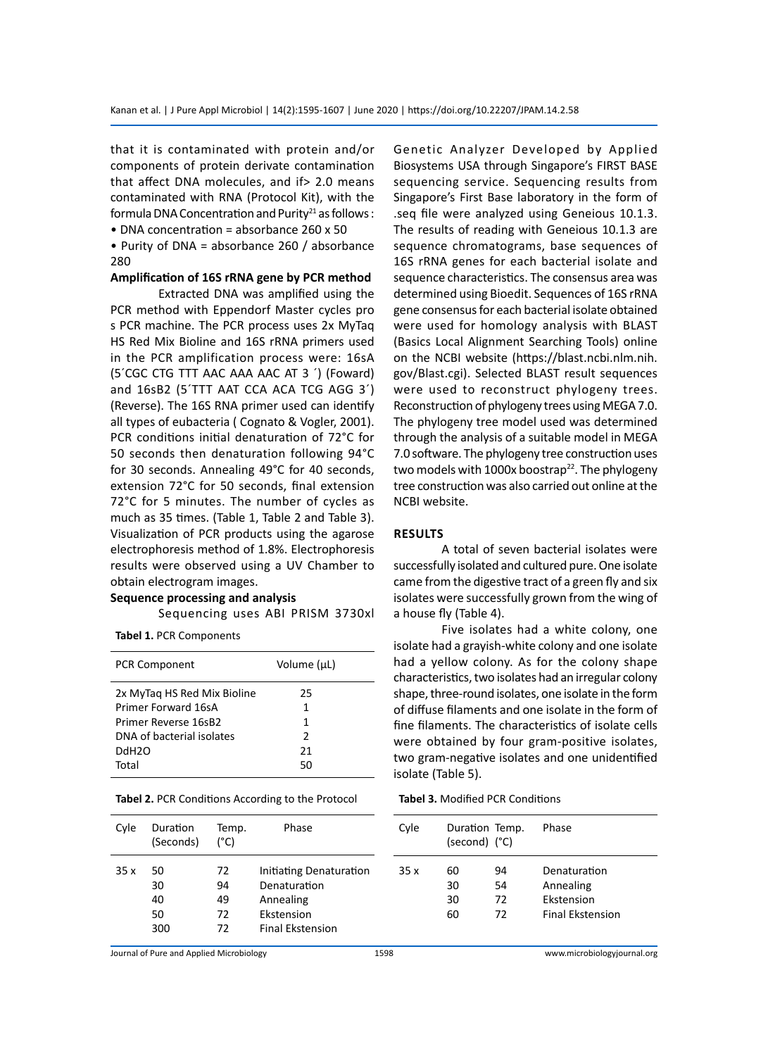that it is contaminated with protein and/or components of protein derivate contamination that affect DNA molecules, and if> 2.0 means contaminated with RNA (Protocol Kit), with the formula DNA Concentration and Purity<sup>21</sup> as follows :

• DNA concentration = absorbance 260 x 50

• Purity of DNA = absorbance 260 / absorbance 280

# **Amplification of 16S rRNA gene by PCR method**

Extracted DNA was amplified using the PCR method with Eppendorf Master cycles pro s PCR machine. The PCR process uses 2x MyTaq HS Red Mix Bioline and 16S rRNA primers used in the PCR amplification process were: 16sA (5´CGC CTG TTT AAC AAA AAC AT 3 ´) (Foward) and 16sB2 (5´TTT AAT CCA ACA TCG AGG 3´) (Reverse). The 16S RNA primer used can identify all types of eubacteria ( Cognato & Vogler, 2001). PCR conditions initial denaturation of 72°C for 50 seconds then denaturation following 94°C for 30 seconds. Annealing 49°C for 40 seconds, extension 72°C for 50 seconds, final extension 72°C for 5 minutes. The number of cycles as much as 35 times. (Table 1, Table 2 and Table 3). Visualization of PCR products using the agarose electrophoresis method of 1.8%. Electrophoresis results were observed using a UV Chamber to obtain electrogram images.

#### **Sequence processing and analysis**

Sequencing uses ABI PRISM 3730xl

**Tabel 1.** PCR Components

| <b>PCR Component</b>        | Volume (µL) |
|-----------------------------|-------------|
| 2x MyTag HS Red Mix Bioline | 25          |
| Primer Forward 16sA         | 1           |
| Primer Reverse 16sB2        | 1           |
| DNA of bacterial isolates   | 2           |
| DdH <sub>2</sub> O          | 21          |
| Total                       | 50          |

**Tabel 2.** PCR Conditions According to the Protocol

Genetic Analyzer Developed by Applied Biosystems USA through Singapore's FIRST BASE sequencing service. Sequencing results from Singapore's First Base laboratory in the form of .seq file were analyzed using Geneious 10.1.3. The results of reading with Geneious 10.1.3 are sequence chromatograms, base sequences of 16S rRNA genes for each bacterial isolate and sequence characteristics. The consensus area was determined using Bioedit. Sequences of 16S rRNA gene consensus for each bacterial isolate obtained were used for homology analysis with BLAST (Basics Local Alignment Searching Tools) online on the NCBI website (https://blast.ncbi.nlm.nih. gov/Blast.cgi). Selected BLAST result sequences were used to reconstruct phylogeny trees. Reconstruction of phylogeny trees using MEGA 7.0. The phylogeny tree model used was determined through the analysis of a suitable model in MEGA 7.0 software. The phylogeny tree construction uses two models with 1000x boostrap<sup>22</sup>. The phylogeny tree construction was also carried out online at the NCBI website.

#### **Results**

A total of seven bacterial isolates were successfully isolated and cultured pure. One isolate came from the digestive tract of a green fly and six isolates were successfully grown from the wing of a house fly (Table 4).

Five isolates had a white colony, one isolate had a grayish-white colony and one isolate had a yellow colony. As for the colony shape characteristics, two isolates had an irregular colony shape, three-round isolates, one isolate in the form of diffuse filaments and one isolate in the form of fine filaments. The characteristics of isolate cells were obtained by four gram-positive isolates, two gram-negative isolates and one unidentified isolate (Table 5).

**Tabel 3.** Modified PCR Conditions

| Cyle | Duration<br>(Seconds) | Temp.<br>(°C) | Phase                   | Cyle | Duration Temp.<br>(second) (°C) |    | Phase                   |
|------|-----------------------|---------------|-------------------------|------|---------------------------------|----|-------------------------|
| 35x  | 50                    | 72            | Initiating Denaturation | 35x  | 60                              | 94 | Denaturation            |
|      | 30                    | 94            | Denaturation            |      | 30                              | 54 | Annealing               |
|      | 40                    | 49            | Annealing               |      | 30                              | 72 | Ekstension              |
|      | 50                    | 72            | Ekstension              |      | 60                              | 72 | <b>Final Ekstension</b> |
|      | 300                   | 72            | <b>Final Ekstension</b> |      |                                 |    |                         |
|      |                       |               |                         |      |                                 |    |                         |

Journal of Pure and Applied Microbiology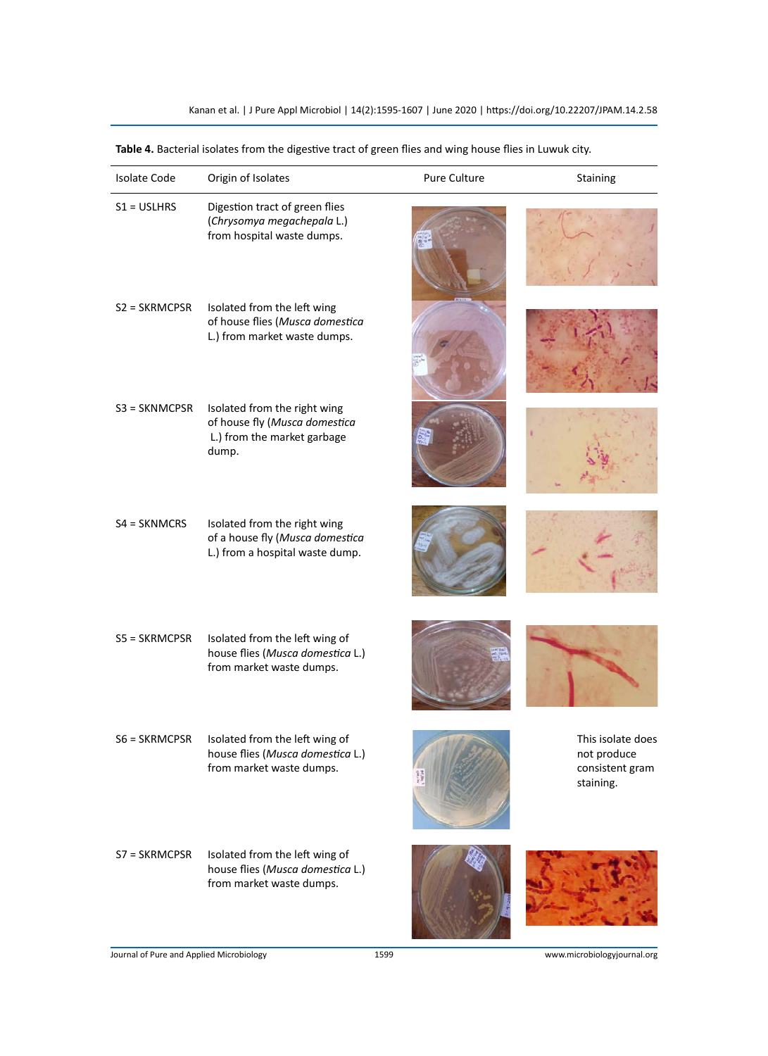| <b>Isolate Code</b> | Origin of Isolates                                                                                    | Pure Culture | Staining                                                         |
|---------------------|-------------------------------------------------------------------------------------------------------|--------------|------------------------------------------------------------------|
| $S1 = USLHRS$       | Digestion tract of green flies<br>(Chrysomya megachepala L.)<br>from hospital waste dumps.            |              |                                                                  |
| $S2 = SKRMCPSR$     | Isolated from the left wing<br>of house flies (Musca domestica<br>L.) from market waste dumps.        |              |                                                                  |
| $S3 = SKNMCPSR$     | Isolated from the right wing<br>of house fly (Musca domestica<br>L.) from the market garbage<br>dump. |              |                                                                  |
| $S4 = SKNMCRS$      | Isolated from the right wing<br>of a house fly (Musca domestica<br>L.) from a hospital waste dump.    |              |                                                                  |
| S5 = SKRMCPSR       | Isolated from the left wing of<br>house flies (Musca domestica L.)<br>from market waste dumps.        |              |                                                                  |
| $S6 = SKRMCPSR$     | Isolated from the left wing of<br>house flies (Musca domestica L.)<br>from market waste dumps.        |              | This isolate does<br>not produce<br>consistent gram<br>staining. |
| S7 = SKRMCPSR       | Isolated from the left wing of<br>house flies (Musca domestica L.)<br>from market waste dumps.        |              |                                                                  |

**Table 4.** Bacterial isolates from the digestive tract of green flies and wing house flies in Luwuk city.

Journal of Pure and Applied Microbiology 1599 www.microbiologyjournal.org

SS 7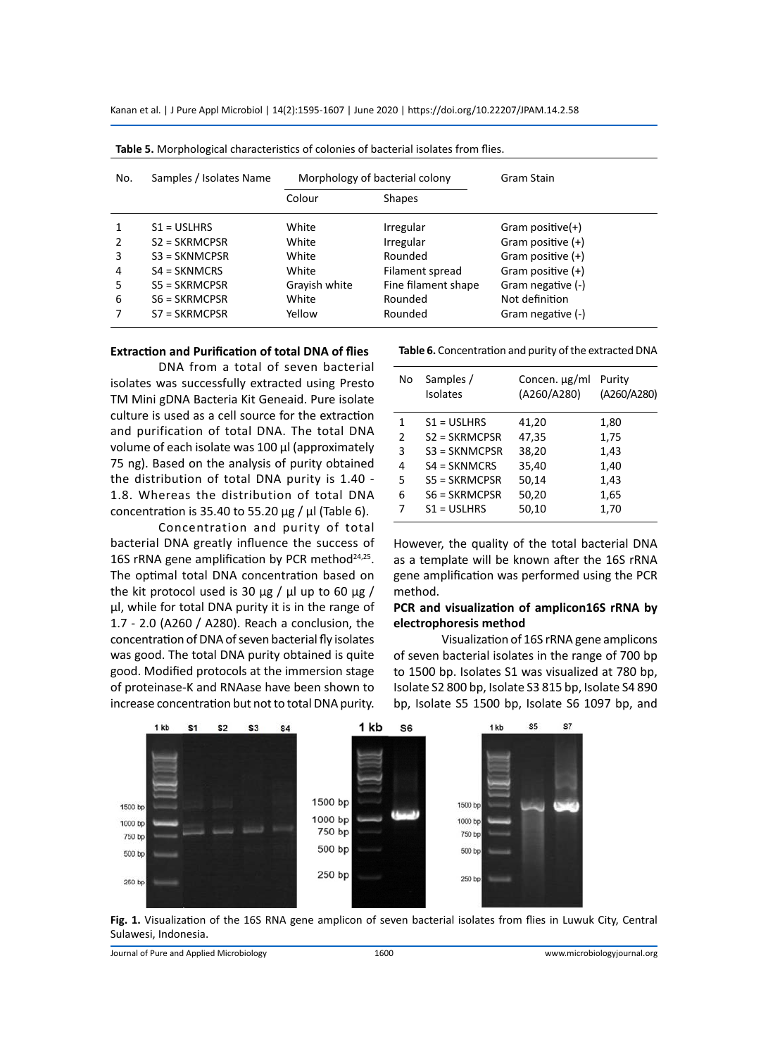Kanan et al. | J Pure Appl Microbiol | 14(2):1595-1607 | June 2020 | https://doi.org/10.22207/JPAM.14.2.58

| No.           | Samples / Isolates Name | Morphology of bacterial colony |                     | Gram Stain          |
|---------------|-------------------------|--------------------------------|---------------------|---------------------|
|               |                         | Colour                         | <b>Shapes</b>       |                     |
|               | $S1 = USLHRS$           | White                          | Irregular           | Gram positive $(+)$ |
| $\mathcal{P}$ | $S2 = SKRMCPSR$         | White                          | Irregular           | Gram positive $(+)$ |
| 3             | $S3 = SKNMCPSR$         | White                          | Rounded             | Gram positive $(+)$ |
| 4             | $S4 = SKNMCRS$          | White                          | Filament spread     | Gram positive $(+)$ |
| 5             | $SS = SKRMCPSR$         | Grayish white                  | Fine filament shape | Gram negative (-)   |
| 6             | $S6 = SKRMCPSR$         | White                          | Rounded             | Not definition      |
|               | $S7 = SKRMCPSR$         | Yellow                         | Rounded             | Gram negative (-)   |

#### **Extraction and Purification of total DNA of flies**

DNA from a total of seven bacterial isolates was successfully extracted using Presto TM Mini gDNA Bacteria Kit Geneaid. Pure isolate culture is used as a cell source for the extraction and purification of total DNA. The total DNA volume of each isolate was 100 µl (approximately 75 ng). Based on the analysis of purity obtained the distribution of total DNA purity is 1.40 - 1.8. Whereas the distribution of total DNA concentration is 35.40 to 55.20  $\mu$ g /  $\mu$ l (Table 6).

Concentration and purity of total bacterial DNA greatly influence the success of 16S rRNA gene amplification by PCR method $24,25$ . The optimal total DNA concentration based on the kit protocol used is 30  $\mu$ g /  $\mu$ l up to 60  $\mu$ g / µl, while for total DNA purity it is in the range of 1.7 - 2.0 (A260 / A280). Reach a conclusion, the concentration of DNA of seven bacterial fly isolates was good. The total DNA purity obtained is quite good. Modified protocols at the immersion stage of proteinase-K and RNAase have been shown to increase concentration but not to total DNA purity.

| No            | Samples /<br>Isolates | Concen. µg/ml<br>(A260/A280) | Purity<br>(A260/A280) |
|---------------|-----------------------|------------------------------|-----------------------|
| 1             | $S1 = USLHRS$         | 41,20                        | 1,80                  |
| $\mathcal{P}$ | $S2 = SKRMCPSR$       | 47,35                        | 1,75                  |
| 3             | $S3 = SKNMCPSR$       | 38,20                        | 1,43                  |
| 4             | $S4 = SKNMCRS$        | 35,40                        | 1,40                  |
| 5             | $SS = SKRMCPSR$       | 50,14                        | 1,43                  |
| 6             | $S6 = SKRMCPSR$       | 50,20                        | 1,65                  |
| 7             | $S1 = USLHRS$         | 50,10                        | 1,70                  |
|               |                       |                              |                       |

However, the quality of the total bacterial DNA as a template will be known after the 16S rRNA gene amplification was performed using the PCR method.

#### **PCR and visualization of amplicon16S rRNA by electrophoresis method**

Visualization of 16S rRNA gene amplicons of seven bacterial isolates in the range of 700 bp to 1500 bp. Isolates S1 was visualized at 780 bp, Isolate S2 800 bp, Isolate S3 815 bp, Isolate S4 890 bp, Isolate S5 1500 bp, Isolate S6 1097 bp, and



**Fig. 1.** Visualization of the 16S RNA gene amplicon of seven bacterial isolates from flies in Luwuk City, Central Sulawesi, Indonesia.

Journal of Pure and Applied Microbiology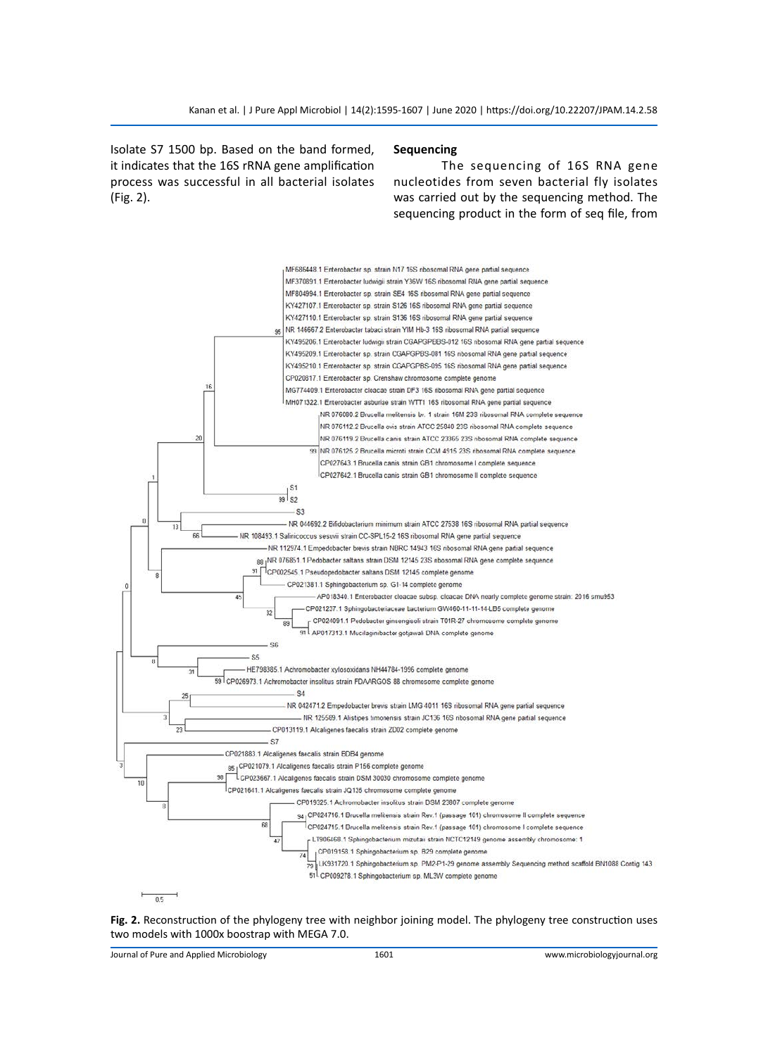Isolate S7 1500 bp. Based on the band formed, it indicates that the 16S rRNA gene amplification process was successful in all bacterial isolates (Fig. 2).

#### **Sequencing**

The sequencing of 16S RNA gene nucleotides from seven bacterial fly isolates was carried out by the sequencing method. The sequencing product in the form of seq file, from



### **Fig. 2.** Reconstruction of the phylogeny tree with neighbor joining model. The phylogeny tree construction uses two models with 1000x boostrap with MEGA 7.0.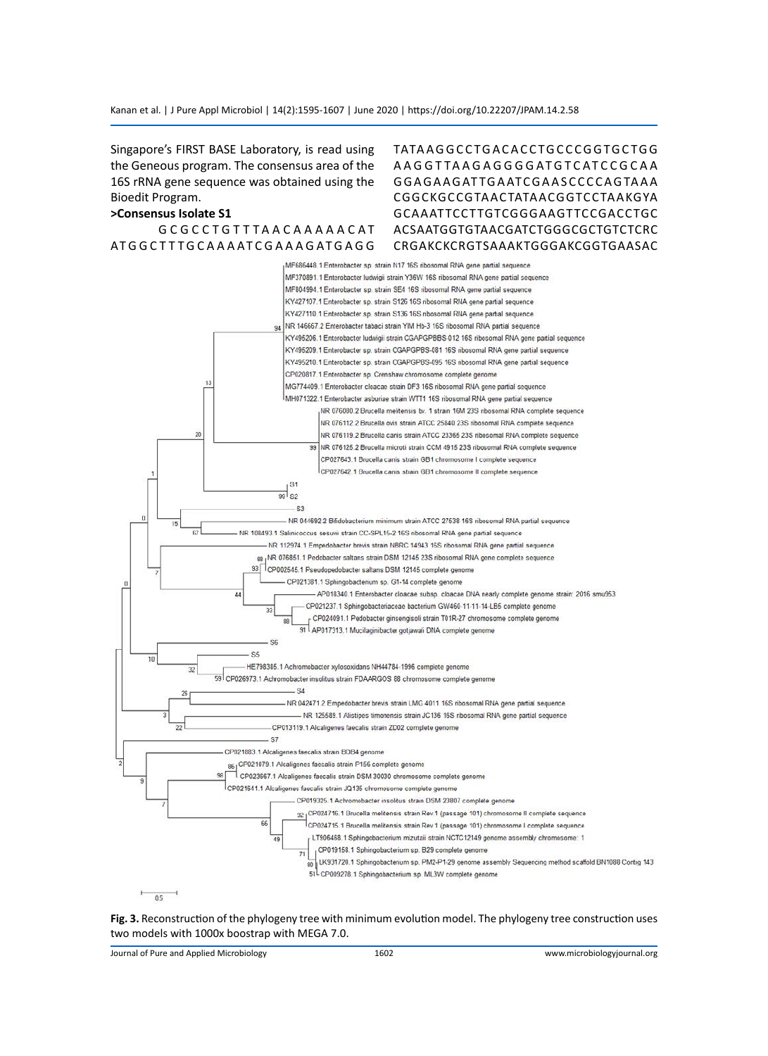Singapore's FIRST BASE Laboratory, is read using the Geneous program. The consensus area of the 16S rRNA gene sequence was obtained using the Bioedit Program.

#### **>Consensus Isolate S1**

G C G C C T G T T T A A C A A A A A C A T AT G G C T T T G C A A A AT C G A A A G AT G A G G TATA A G G C C T G A C A C C T G C C C G G T G C T G G A A G G T TA A G A G G G G AT G T C AT C C G C A A G G A G A A G AT TG A ATC G A A S C C C C A G TA A A CGGCKGCCGTAACTATAACGGTCCTAAKGYA GCAAATTCCTTGTCGGGAAGTTCCGACCTGC ACSAATGGTGTAACGATCTGGGCGCTGTCTCRC CRGAKCKCRGTSAAAKTGGGAKCGGTGAASAC



#### **Fig. 3.** Reconstruction of the phylogeny tree with minimum evolution model. The phylogeny tree construction uses two models with 1000x boostrap with MEGA 7.0.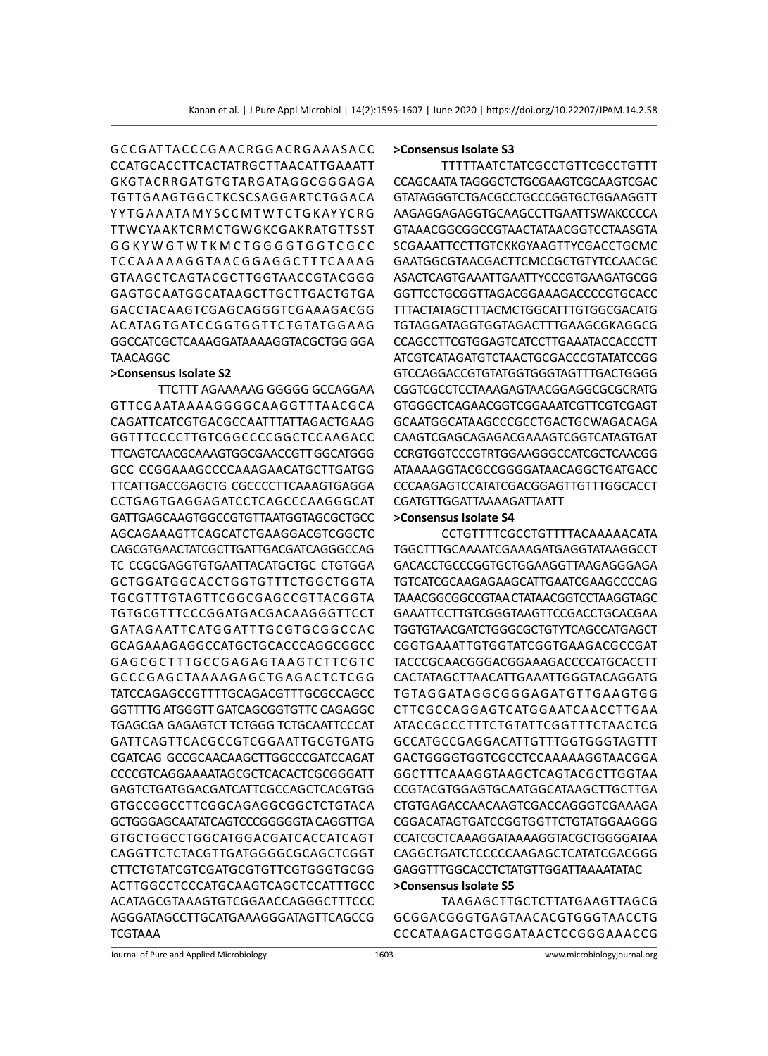# G C C G AT TA C C C G A A C R G G A C R G A A A S A C C CCATGCACCTTCACTATRGCTTAACATTGAAATT GKGTACRRGATGTGTARGATAGGCGGGAGA TGTTGAAGTGGCTKCSCSAGGARTCTGGACA YYTGAAATAMYSCCMTWTCTGKAYYCRG TTWCYAAKTCRMCTGWGKCGAKRATGTTSST G G K Y W G T W T K M C T G G G G T G G T C G C C T C C A A A A A G G TA A C G G A G G C T T T C A A A G GTAAGCTCAGTACGCTTGGTAACCGTACGGG GAGTGCAATGGCATAAGCTTGCTTGACTGTGA GACCTACAAGTCGAGCAGGGTCGAAAGACGG A C ATA G TG ATC CG G TG G T TC TG TATG G A A G GGCCATCGCTCAAAGGATAAAAGGTACGCTGG GGA TAACAGGC

#### **>Consensus Isolate S2**

TTCTTT AGAAAAAG GGGGG GCCAGGAA GT TCGAATAAAAGGGGCAAGGT T TAACGCA CAGATTCATCGTGACGCCAATTTATTAGACTGAAG GGTTTCCCCTTGTCGGCCCCGGCTCCAAGACC TTCAGTCAACGCAAAGTGGCGAACCGTT GGCATGGG GCC CCGGAAAGCCCCAAAGAACATGCTTGATGG TTCATTGACCGAGCTG CGCCCCTTCAAAGTGAGGA CCTGAGTGAGGAGATCCTCAGCCCAAGGGCAT GATTGAGCAAGTGGCCGTGTTAATGGTAGCGCTGCC AGCAGAAAGTTCAGCATCTGAAGGACGTCGGCTC CAGCGTGAACTATCGCTTGATTGACGATCAGGGCCAG TC CCGCGAGGTGTGAATTACATGCTGC CTGTGGA GCTGGATGGCACCTGGTGTTTCTGGCTGGTA TGCGTTTGTAGTTCGGCGAGCCGTTACGGTA TGTGCGTTTCCCGGATGACGACAAGGGTTCCT G ATAG A AT TC ATG G AT T TG CG TG CG G C C AC GCAGAAAGAGGCCATGCTGCACCCAGGCGGCC G A G C G C T T TG C C G A G A G TA A G T C T T C G T C G C C C G A G C TA A A A G A G C TG A G A C TC TC G G TATCCAGAGCCGTTTTGCAGACGTTTGCGCCAGCC GGTTTTG ATGGGTT GATCAGCGGTGTTC CAGAGGC TGAGCGA GAGAGTCT TCTGGG TCTGCAATTCCCAT GATTCAGTTCACGCCGTCGGAATTGCGTGATG CGATCAG GCCGCAACAAGCTTGGCCCGATCCAGAT CCCCGTCAGGAAAATAGCGCTCACACTCGCGGGATT GAGTCTGATGGACGATCATTCGCCAGCTCACGTGG GTGCCGGCCTTCGGCAGAGGCGGCTCTGTACA GCTGGGAGCAATATCAGTCCCGGGGGTA CAGGTTGA GTGCTGGCCTGGCATGGACGATCACCATCAGT CAGGTTCTCTACGTTGATGGGGCGCAGCTCGGT CTTCTGTATCGTCGATGCGTGTTCGTGGGTGCGG ACTTGGCCTCCCATGCAAGTCAGCTCCATTTGCC ACATAGCGTAAAGTGTCGGAACCAGGGCTTTCCC AGGGATAGCCTTGCATGAAAGGGATAGTTCAGCCG **TCGTAAA** 

#### **>Consensus Isolate S3**

TTTTTAATCTATCGCCTGTTCGCCTGTTT CCAGCAATA TAGGGCTCTGCGAAGTCGCAAGTCGAC GTATAGGGTCTGACGCCTGCCCGGTGCTGGAAGGTT AAGAGGAGAGGTGCAAGCCTTGAATTSWAKCCCCA GTAAACGGCGGCCGTAACTATAACGGTCCTAASGTA SCGAAATTCCTTGTCKKGYAAGTTYCGACCTGCMC GAATGGCGTAACGACTTCMCCGCTGTYTCCAACGC ASACTCAGTGAAATTGAATTYCCCGTGAAGATGCGG GGTTCCTGCGGTTAGACGGAAAGACCCCGTGCACC TTTACTATAGCTTTACMCTGGCATTTGTGGCGACATG TGTAGGATAGGTGGTAGACTTTGAAGCGKAGGCG CCAGCCTTCGTGGAGTCATCCTTGAAATACCACCCTT ATCGTCATAGATGTCTAACTGCGACCCGTATATCCGG GTCCAGGACCGTGTATGGTGGGTAGTTTGACTGGGG CGGTCGCCTCCTAAAGAGTAACGGAGGCGCGCRATG GTGGGCTCAGAACGGTCGGAAATCGTTCGTCGAGT GCAATGGCATAAGCCCGCCTGACTGCWAGACAGA CAAGTCGAGCAGAGACGAAAGTCGGTCATAGTGAT CCRGTGGTCCCGTRTGGAAGGGCCATCGCTCAACGG ATAAAAGGTACGCCGGGGATAACAGGCTGATGACC CCCAAGAGTCCATATCGACGGAGTTGTTTGGCACCT CGATGTTGGATTAAAAGATTAATT

# **>Consensus Isolate S4**

CCTGTTTTCGCCTGTTTTACAAAAACATA TGGCTTTGCAAAATCGAAAGATGAGGTATAAGGCCT GACACCTGCCCGGTGCTGGAAGGTTAAGAGGGAGA TGTCATCGCAAGAGAAGCATTGAATCGAAGCCCCAG TAAACGGCGGCCGTAA CTATAACGGTCCTAAGGTAGC GAAATTCCTTGTCGGGTAAGTTCCGACCTGCACGAA TGGTGTAACGATCTGGGCGCTGTYTCAGCCATGAGCT CGGTGAAATTGTGGTATCGGTGAAGACGCCGAT TACCCGCAACGGGACGGAAAGACCCCATGCACCTT CACTATAGCTTAACATTGAAATTGGGTACAGGATG TG TA G G ATA G G C G G G A G ATG T TG A A G TG G CTTCGCCAGGAGTCATGGAATCAACCTTGAA ATACCGCCCTTTCTGTATTCGGTTTCTAACTCG GCCATGCCGAGGACATTGTTTGGTGGGTAGTTT GACTGGGGTGGTCGCCTCCAAAAAGGTAACGGA GGCTTTCAAAGGTAAGCTCAGTACGCTTGGTAA CCGTACGTGGAGTGCAATGGCATAAGCTTGCTTGA CTGTGAGACCAACAAGTCGACCAGGGTCGAAAGA CGGACATAGTGATCCGGTGGTTCTGTATGGAAGGG CCATCGCTCAAAGGATAAAAGGTACGCTGGGGATAA CAGGCTGATCTCCCCCAAGAGCTCATATCGACGGG GAGGTTTGGCACCTCTATGTTGGATTAAAATATAC

#### **>Consensus Isolate S5**

TAAGAGCTTGCTCTTATGAAGTTAGCG GCGGACGGGTGAGTAACACGTGGGTAACCTG CCCATAAGACTGGGATAACTCCGGGAAACCG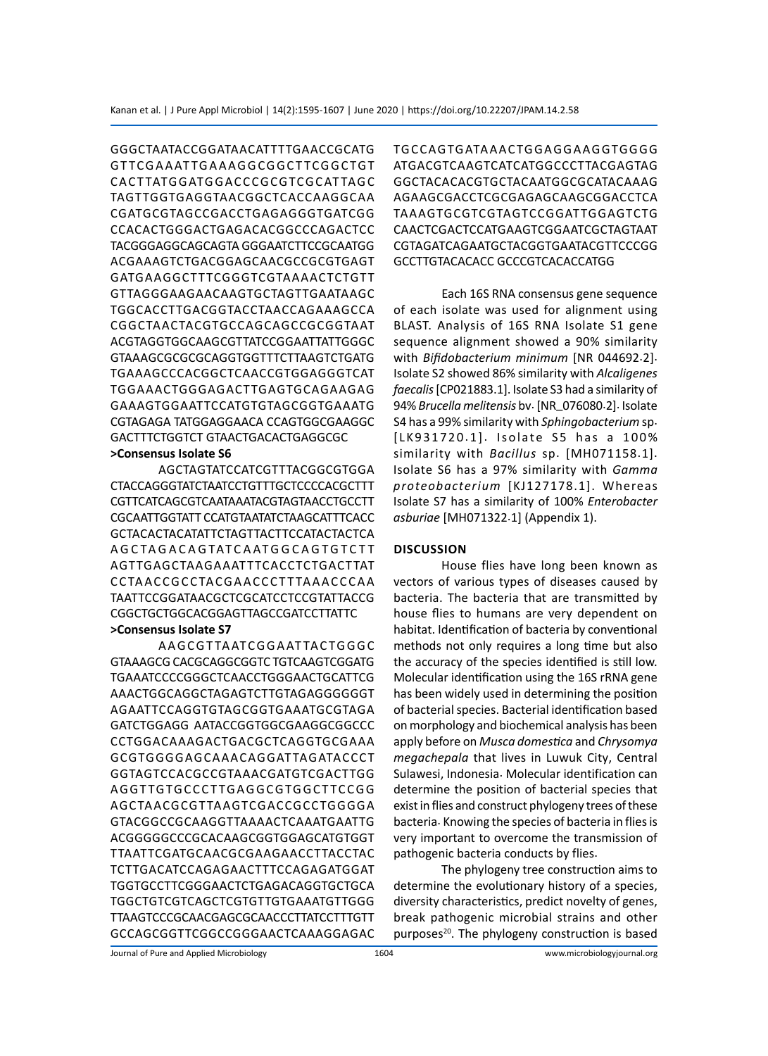GGGCTAATACCGGATAACATTTTGAACCGCATG G T TC G A A AT TG A A A G G C G G C T TC G G C TG T CACTTATGGATGGACCCGCGTCGCATTAGC TAGTTGGTGAGGTAACGGCTCACCAAGGCAA CGATGCGTAGCCGACCTGAGAGGGTGATCGG CCACACTGGGACTGAGACACGGCCCAGACTCC TACGGGAGGCAGCAGTA GGGAATCTTCCGCAATGG ACGAAAGTCTGACGGAGCAACGCCGCGTGAGT GATGAAGGCTTTCGGGTCGTAAAACTCTGTT GTTAGGGAAGAACAAGTGCTAGTTGAATAAGC TGGCACCTTGACGGTACCTAACCAGAAAGCCA CGGCTAACTACGTGCCAGCAGCCGCGGTAAT ACGTAGGTGGCAAGCGTTATCCGGAATTATTGGGC GTAAAGCGCGCGCAGGTGGTTTCTTAAGTCTGATG TGAAAGCCCACGGCTCAACCGTGGAGGGTCAT TGGAAACTGGGAGACTTGAGTGCAGAAGAG GAAAGTGGAATTCCATGTGTAGCGGTGAAATG CGTAGAGA TATGGAGGAACA CCAGTGGCGAAGGC GACTTTCTGGTCT GTAACTGACACTGAGGCGC

# **>Consensus Isolate S6**

AGCTAGTATCCATCGTTTACGGCGTGGA CTACCAGGGTATCTAATCCTGTTTGCTCCCCACGCTTT CGTTCATCAGCGTCAATAAATACGTAGTAACCTGCCTT CGCAATTGGTATT CCATGTAATATCTAAGCATTTCACC GCTACACTACATATTCTAGTTACTTCCATACTACTCA A G C TA G A C A G TAT C A AT G G C A G T G T C T T AGTTGAGCTAAGAAATTTCACCTCTGACTTAT C C TA A C C G C C TA C G A A C C C T T TA A A C C C A A TAATTCCGGATAACGCTCGCATCCTCCGTATTACCG CGGCTGCTGGCACGGAGTTAGCCGATCCTTATTC **>Consensus Isolate S7** 

A A G C G T TA ATC G G A AT TA C TG G G C GTAAAGCG CACGCAGGCGGTC TGTCAAGTCGGATG TGAAATCCCCGGGCTCAACCTGGGAACTGCATTCG AAACTGGCAGGCTAGAGTCTTGTAGAGGGGGGT AGAATTCCAGGTGTAGCGGTGAAATGCGTAGA GATCTGGAGG AATACCGGTGGCGAAGGCGGCCC CCTGGACAAAGACTGACGCTCAGGTGCGAAA GCGTGGGGAGCAAACAGGAT TAGATACCCT GGTAGTCCACGCCGTAAACGATGTCGACTTGG A G G T TG TG C C C T TG A G G C G TG G C T TC C G G AGCTAACGCGT TAAGTCGACCGCCTGGGGA GTACGGCCGCAAGGTTAAAACTCAAATGAATTG ACGGGGGCCCGCACAAGCGGTGGAGCATGTGGT TTAATTCGATGCAACGCGAAGAACCTTACCTAC TCTTGACATCCAGAGAACTTTCCAGAGATGGAT TGGTGCCTTCGGGAACTCTGAGACAGGTGCTGCA TGGCTGTCGTCAGCTCGTGTTGTGAAATGTTGGG TTAAGTCCCGCAACGAGCGCAACCCTTATCCTTTGTT GCCAGCGGTTCGGCCGGGAACTCAAAGGAGAC TG C C AGTG ATA A AC TG G AG G A AG GTG G G G ATGACGTCAAGTCATCATGGCCCTTACGAGTAG GGCTACACACGTGCTACAATGGCGCATACAAAG AGAAGCGACCTCGCGAGAGCAAGCGGACCTCA TAAAGTGCGTCGTAGTCCGGATTGGAGTCTG CAACTCGACTCCATGAAGTCGGAATCGCTAGTAAT CGTAGATCAGAATGCTACGGTGAATACGTTCCCGG GCCTTGTACACACC GCCCGTCACACCATGG

Each 16S RNA consensus gene sequence of each isolate was used for alignment using BLAST. Analysis of 16S RNA Isolate S1 gene sequence alignment showed a 90% similarity with *Bifidobacterium minimum* [NR 044692.2]. Isolate S2 showed 86% similarity with *Alcaligenes faecalis*[CP021883.1]. Isolate S3 had a similarity of 94% *Brucella melitensis* bv. [NR\_076080.2]. Isolate S4 has a 99% similarity with *Sphingobacterium* sp. [LK931720.1]. Isolate S5 has a 100% similarity with *Bacillus* sp. [MH071158.1]. Isolate S6 has a 97% similarity with *Gamma proteobacterium* [KJ127178.1]. Whereas Isolate S7 has a similarity of 100% *Enterobacter asburiae* [MH071322.1] (Appendix 1).

#### **Discussion**

House flies have long been known as vectors of various types of diseases caused by bacteria. The bacteria that are transmitted by house flies to humans are very dependent on habitat. Identification of bacteria by conventional methods not only requires a long time but also the accuracy of the species identified is still low. Molecular identification using the 16S rRNA gene has been widely used in determining the position of bacterial species. Bacterial identification based on morphology and biochemical analysis has been apply before on *Musca domestica* and *Chrysomya megachepala* that lives in Luwuk City, Central Sulawesi, Indonesia. Molecular identification can determine the position of bacterial species that exist in flies and construct phylogeny trees of these bacteria. Knowing the species of bacteria in flies is very important to overcome the transmission of pathogenic bacteria conducts by flies.

The phylogeny tree construction aims to determine the evolutionary history of a species, diversity characteristics, predict novelty of genes, break pathogenic microbial strains and other purposes<sup>20</sup>. The phylogeny construction is based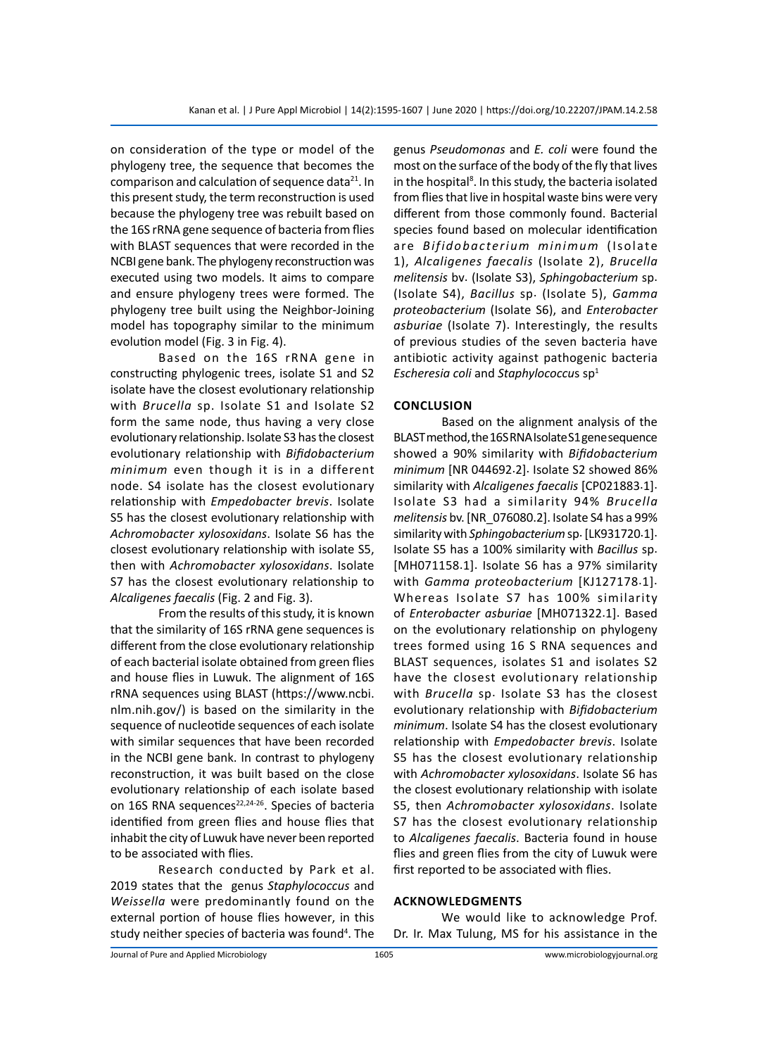on consideration of the type or model of the phylogeny tree, the sequence that becomes the comparison and calculation of sequence data<sup>21</sup>. In this present study, the term reconstruction is used because the phylogeny tree was rebuilt based on the 16S rRNA gene sequence of bacteria from flies with BLAST sequences that were recorded in the NCBI gene bank. The phylogeny reconstruction was executed using two models. It aims to compare and ensure phylogeny trees were formed. The phylogeny tree built using the Neighbor-Joining model has topography similar to the minimum evolution model (Fig. 3 in Fig. 4).

Based on the 16S rRNA gene in constructing phylogenic trees, isolate S1 and S2 isolate have the closest evolutionary relationship with *Brucella* sp. Isolate S1 and Isolate S2 form the same node, thus having a very close evolutionary relationship. Isolate S3 has the closest evolutionary relationship with *Bifidobacterium minimum* even though it is in a different node. S4 isolate has the closest evolutionary relationship with *Empedobacter brevis*. Isolate S5 has the closest evolutionary relationship with *Achromobacter xylosoxidans*. Isolate S6 has the closest evolutionary relationship with isolate S5, then with *Achromobacter xylosoxidans*. Isolate S7 has the closest evolutionary relationship to *Alcaligenes faecalis* (Fig. 2 and Fig. 3).

From the results of this study, it is known that the similarity of 16S rRNA gene sequences is different from the close evolutionary relationship of each bacterial isolate obtained from green flies and house flies in Luwuk. The alignment of 16S rRNA sequences using BLAST (https://www.ncbi. nlm.nih.gov/) is based on the similarity in the sequence of nucleotide sequences of each isolate with similar sequences that have been recorded in the NCBI gene bank. In contrast to phylogeny reconstruction, it was built based on the close evolutionary relationship of each isolate based on 16S RNA sequences<sup>22,24-26</sup>. Species of bacteria identified from green flies and house flies that inhabit the city of Luwuk have never been reported to be associated with flies.

Research conducted by Park et al. 2019 states that the genus *Staphylococcus* and *Weissella* were predominantly found on the external portion of house flies however, in this study neither species of bacteria was found<sup>4</sup>. The genus *Pseudomonas* and *E. coli* were found the most on the surface of the body of the fly that lives in the hospital<sup>8</sup>. In this study, the bacteria isolated from flies that live in hospital waste bins were very different from those commonly found. Bacterial species found based on molecular identification are *Bifidobacterium minimum* (Isolate 1), *Alcaligenes faecalis* (Isolate 2), *Brucella melitensis* bv. (Isolate S3), *Sphingobacterium* sp. (Isolate S4), *Bacillus* sp. (Isolate 5), *Gamma proteobacterium* (Isolate S6), and *Enterobacter asburiae* (Isolate 7). Interestingly, the results of previous studies of the seven bacteria have antibiotic activity against pathogenic bacteria *Escheresia coli* and *Staphylococcu*s sp1

### **Conclusion**

Based on the alignment analysis of the BLAST method, the 16S RNA Isolate S1 gene sequence showed a 90% similarity with *Bifidobacterium minimum* [NR 044692.2]. Isolate S2 showed 86% similarity with *Alcaligenes faecalis* [CP021883.1]. Isolate S3 had a similarity 94% *Brucella melitensis* bv. [NR\_076080.2]. Isolate S4 has a 99% similarity with *Sphingobacterium*sp. [LK931720.1]. Isolate S5 has a 100% similarity with *Bacillus* sp. [MH071158.1]. Isolate S6 has a 97% similarity with *Gamma proteobacterium* [KJ127178.1]. Whereas Isolate S7 has 100% similarity of *Enterobacter asburiae* [MH071322.1]. Based on the evolutionary relationship on phylogeny trees formed using 16 S RNA sequences and BLAST sequences, isolates S1 and isolates S2 have the closest evolutionary relationship with *Brucella* sp. Isolate S3 has the closest evolutionary relationship with *Bifidobacterium minimum*. Isolate S4 has the closest evolutionary relationship with *Empedobacter brevis*. Isolate S5 has the closest evolutionary relationship with *Achromobacter xylosoxidans*. Isolate S6 has the closest evolutionary relationship with isolate S5, then *Achromobacter xylosoxidans*. Isolate S7 has the closest evolutionary relationship to *Alcaligenes faecalis*. Bacteria found in house flies and green flies from the city of Luwuk were first reported to be associated with flies.

#### **Acknowledgments**

We would like to acknowledge Prof. Dr. Ir. Max Tulung, MS for his assistance in the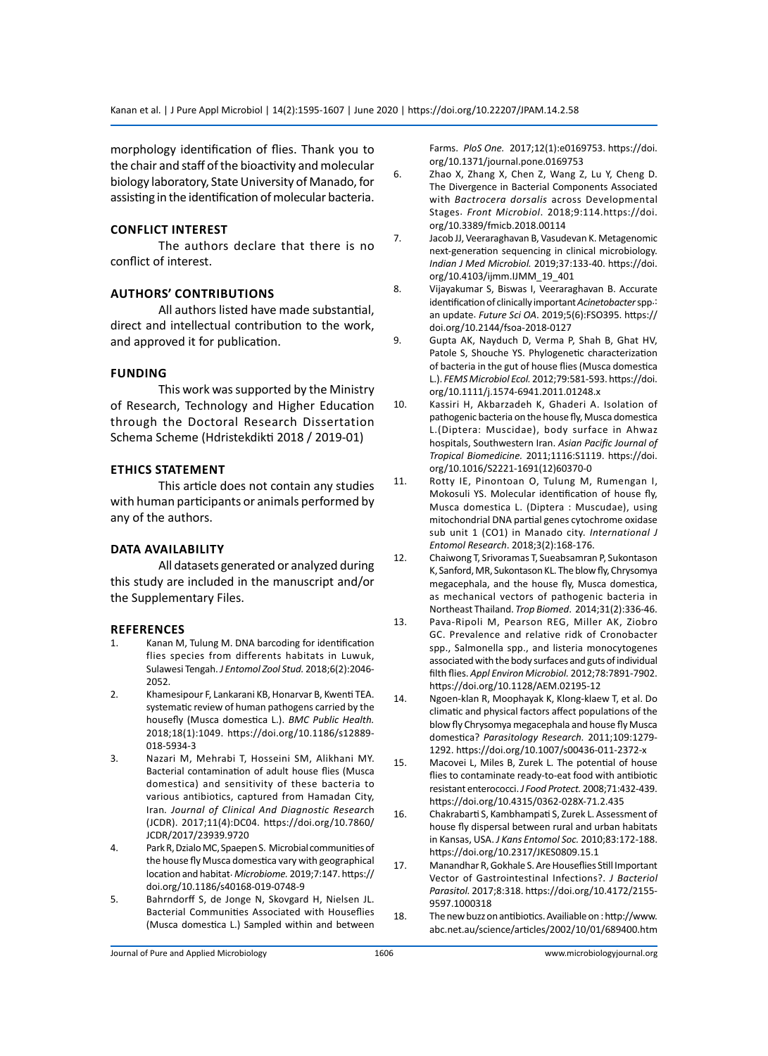morphology identification of flies. Thank you to the chair and staff of the bioactivity and molecular biology laboratory, State University of Manado, for assisting in the identification of molecular bacteria.

#### **Conflict interest**

The authors declare that there is no conflict of interest.

# **Authors' Contributions**

All authors listed have made substantial, direct and intellectual contribution to the work, and approved it for publication.

# **Funding**

This work was supported by the Ministry of Research, Technology and Higher Education through the Doctoral Research Dissertation Schema Scheme (Hdristekdikti 2018 / 2019-01)

# **Ethics Statement**

This article does not contain any studies with human participants or animals performed by any of the authors.

# **Data Availability**

All datasets generated or analyzed during this study are included in the manuscript and/or the Supplementary Files.

#### **References**

- 1. Kanan M, Tulung M. DNA barcoding for identification flies species from differents habitats in Luwuk, Sulawesi Tengah. *J Entomol Zool Stud.* 2018;6(2):2046- 2052.
- 2. Khamesipour F, Lankarani KB, Honarvar B, Kwenti TEA. systematic review of human pathogens carried by the housefly (Musca domestica L.). *BMC Public Health.* 2018;18(1):1049. https://doi.org/10.1186/s12889- 018-5934-3
- 3. Nazari M, Mehrabi T, Hosseini SM, Alikhani MY. Bacterial contamination of adult house flies (Musca domestica) and sensitivity of these bacteria to various antibiotics, captured from Hamadan City, Iran*. Journal of Clinical And Diagnostic Researc*h (JCDR). 2017;11(4):DC04. https://doi.org/10.7860/ JCDR/2017/23939.9720
- 4. Park R, Dzialo MC, Spaepen S. Microbial communities of the house fly Musca domestica vary with geographical location and habitat. *Microbiome.* 2019;7:147. https:// doi.org/10.1186/s40168-019-0748-9
- 5. Bahrndorff S, de Jonge N, Skovgard H, Nielsen JL. Bacterial Communities Associated with Houseflies (Musca domestica L.) Sampled within and between

Farms. *PloS One.* 2017;12(1):e0169753. https://doi. org/10.1371/journal.pone.0169753

- 6. Zhao X, Zhang X, Chen Z, Wang Z, Lu Y, Cheng D. The Divergence in Bacterial Components Associated with *Bactrocera dorsalis* across Developmental Stages. *Front Microbiol*. 2018;9:114.https://doi. org/10.3389/fmicb.2018.00114
- 7. Jacob JJ, Veeraraghavan B, Vasudevan K. Metagenomic next-generation sequencing in clinical microbiology. *Indian J Med Microbiol.* 2019;37:133-40. https://doi. org/10.4103/ijmm.IJMM\_19\_401
- 8. Vijayakumar S, Biswas I, Veeraraghavan B. Accurate identification of clinically important*Acinetobacter*spp.: an update. *Future Sci OA*. 2019;5(6):FSO395. https:// doi.org/10.2144/fsoa-2018-0127
- 9. Gupta AK, Nayduch D, Verma P, Shah B, Ghat HV, Patole S, Shouche YS. Phylogenetic characterization of bacteria in the gut of house flies (Musca domestica L.). *FEMS Microbiol Ecol.* 2012;79:581-593. https://doi. org/10.1111/j.1574-6941.2011.01248.x
- 10. Kassiri H, Akbarzadeh K, Ghaderi A. Isolation of pathogenic bacteria on the house fly, Musca domestica L.(Diptera: Muscidae), body surface in Ahwaz hospitals, Southwestern Iran. *Asian Pacific Journal of Tropical Biomedicine.* 2011;1116:S1119. https://doi. org/10.1016/S2221-1691(12)60370-0
- 11. Rotty IE, Pinontoan O, Tulung M, Rumengan I, Mokosuli YS. Molecular identification of house fly, Musca domestica L. (Diptera : Muscudae), using mitochondrial DNA partial genes cytochrome oxidase sub unit 1 (CO1) in Manado city. *International J Entomol Research*. 2018;3(2):168-176.
- 12. Chaiwong T, Srivoramas T, Sueabsamran P, Sukontason K, Sanford, MR, Sukontason KL. The blow fly, Chrysomya megacephala, and the house fly, Musca domestica, as mechanical vectors of pathogenic bacteria in Northeast Thailand. *Trop Biomed*. 2014;31(2):336-46.
- 13. Pava-Ripoli M, Pearson REG, Miller AK, Ziobro GC. Prevalence and relative ridk of Cronobacter spp., Salmonella spp., and listeria monocytogenes associated with the body surfaces and guts of individual filth flies. *Appl Environ Microbiol.* 2012;78:7891-7902. https://doi.org/10.1128/AEM.02195-12
- 14. Ngoen-klan R, Moophayak K, Klong-klaew T, et al. Do climatic and physical factors affect populations of the blow fly Chrysomya megacephala and house fly Musca domestica? *Parasitology Research.* 2011;109:1279- 1292. https://doi.org/10.1007/s00436-011-2372-x
- 15. Macovei L, Miles B, Zurek L. The potential of house flies to contaminate ready-to-eat food with antibiotic resistant enterococci. *J Food Protect.* 2008;71:432-439. https://doi.org/10.4315/0362-028X-71.2.435
- 16. Chakrabarti S, Kambhampati S, Zurek L. Assessment of house fly dispersal between rural and urban habitats in Kansas, USA. *J Kans Entomol Soc.* 2010;83:172-188. https://doi.org/10.2317/JKES0809.15.1
- 17. Manandhar R, Gokhale S. Are Houseflies Still Important Vector of Gastrointestinal Infections?. *J Bacteriol Parasitol.* 2017;8:318. https://doi.org/10.4172/2155- 9597.1000318
- 18. The new buzz on antibiotics. Availiable on : http://www. abc.net.au/science/articles/2002/10/01/689400.htm